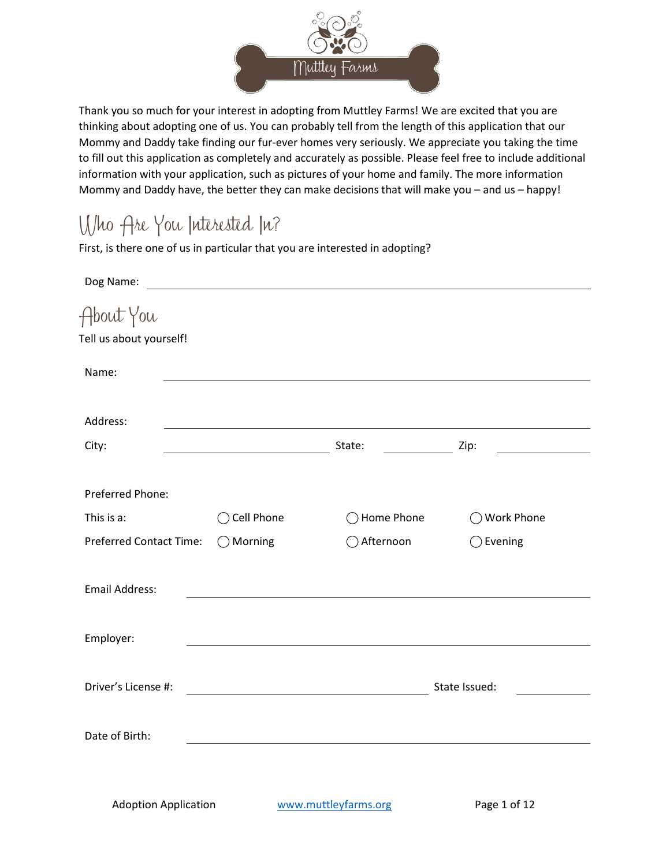

Thank you so much for your interest in adopting from Muttley Farms! We are excited that you are thinking about adopting one of us. You can probably tell from the length of this application that our Mommy and Daddy take finding our fur-ever homes very seriously. We appreciate you taking the time to fill out this application as completely and accurately as possible. Please feel free to include additional information with your application, such as pictures of your home and family. The more information Mommy and Daddy have, the better they can make decisions that will make you – and us – happy!

## Who Are You Interested In?

First, is there one of us in particular that you are interested in adopting?

| Dog Name:                            | <u>and the contract of the contract of the contract of the contract of the contract of the contract of the contract of the contract of the contract of the contract of the contract of the contract of the contract of the contr</u> |            |                    |
|--------------------------------------|--------------------------------------------------------------------------------------------------------------------------------------------------------------------------------------------------------------------------------------|------------|--------------------|
| About You<br>Tell us about yourself! |                                                                                                                                                                                                                                      |            |                    |
| Name:                                |                                                                                                                                                                                                                                      |            |                    |
| Address:                             |                                                                                                                                                                                                                                      |            |                    |
| City:                                |                                                                                                                                                                                                                                      | State:     | Zip:               |
| Preferred Phone:                     |                                                                                                                                                                                                                                      |            |                    |
| This is a:                           | $\bigcirc$ Cell Phone                                                                                                                                                                                                                | Home Phone | ◯ Work Phone       |
| <b>Preferred Contact Time:</b>       | $\bigcirc$ Morning                                                                                                                                                                                                                   | Afternoon  | $\bigcirc$ Evening |
| <b>Email Address:</b>                |                                                                                                                                                                                                                                      |            |                    |
| Employer:                            |                                                                                                                                                                                                                                      |            |                    |
| Driver's License #:                  |                                                                                                                                                                                                                                      |            | State Issued:      |
| Date of Birth:                       |                                                                                                                                                                                                                                      |            |                    |
|                                      |                                                                                                                                                                                                                                      |            |                    |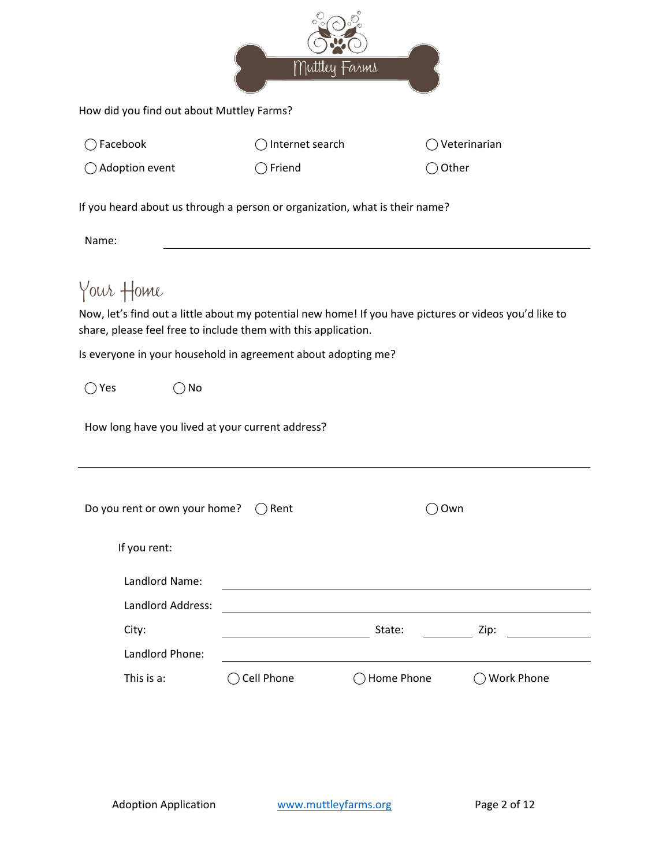|                                                                                                                                                                                                             |                  | Muttley Farms |                                                                                                        |
|-------------------------------------------------------------------------------------------------------------------------------------------------------------------------------------------------------------|------------------|---------------|--------------------------------------------------------------------------------------------------------|
| How did you find out about Muttley Farms?                                                                                                                                                                   |                  |               |                                                                                                        |
| Facebook                                                                                                                                                                                                    | Internet search  |               | Veterinarian                                                                                           |
| $\bigcirc$ Adoption event                                                                                                                                                                                   | $\supset$ Friend |               | Other                                                                                                  |
| If you heard about us through a person or organization, what is their name?                                                                                                                                 |                  |               |                                                                                                        |
| Name:                                                                                                                                                                                                       |                  |               |                                                                                                        |
| share, please feel free to include them with this application.<br>Is everyone in your household in agreement about adopting me?<br>$\bigcirc$ Yes<br>No<br>How long have you lived at your current address? |                  |               | Now, let's find out a little about my potential new home! If you have pictures or videos you'd like to |
| Do you rent or own your home?<br>If you rent:<br>Landlord Name:                                                                                                                                             | $\bigcirc$ Rent  |               | Own                                                                                                    |
| Landlord Address:<br>City:                                                                                                                                                                                  |                  | State:        | Zip:                                                                                                   |
| Landlord Phone:                                                                                                                                                                                             |                  |               |                                                                                                        |
| This is a:                                                                                                                                                                                                  | Cell Phone       | Home Phone    | ◯ Work Phone                                                                                           |
|                                                                                                                                                                                                             |                  |               |                                                                                                        |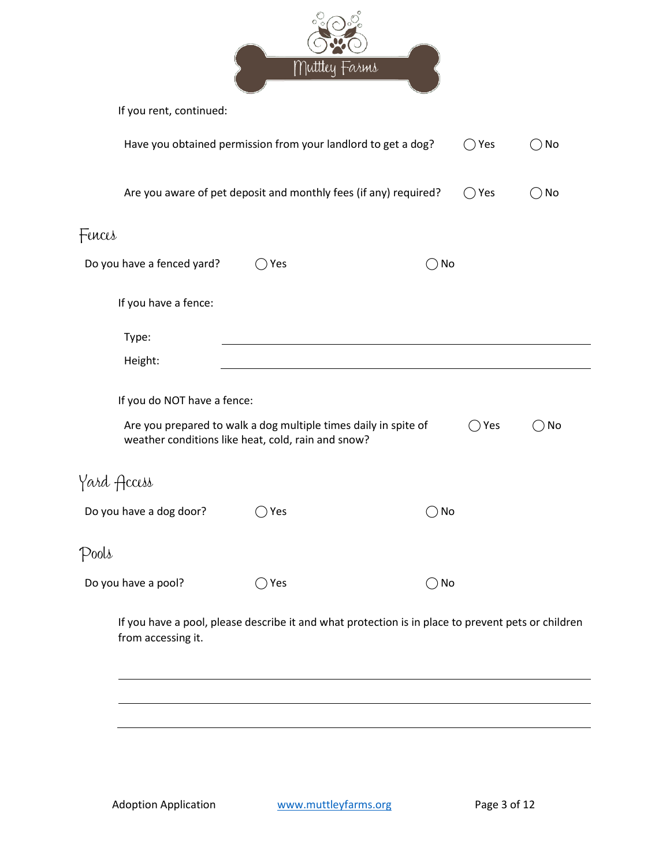|                                                                                                                       |     | Muttley Farms                                                                                      |                      |               |
|-----------------------------------------------------------------------------------------------------------------------|-----|----------------------------------------------------------------------------------------------------|----------------------|---------------|
| If you rent, continued:                                                                                               |     |                                                                                                    |                      |               |
| Have you obtained permission from your landlord to get a dog?                                                         |     |                                                                                                    | $\bigcirc$ Yes       | ) No          |
|                                                                                                                       |     | Are you aware of pet deposit and monthly fees (if any) required?                                   | $\bigcirc$ Yes       | $\bigcirc$ No |
| Fences                                                                                                                |     |                                                                                                    |                      |               |
| Do you have a fenced yard?                                                                                            | Yes | $\bigcirc$ No                                                                                      |                      |               |
| If you have a fence:                                                                                                  |     |                                                                                                    |                      |               |
| Type:                                                                                                                 |     |                                                                                                    |                      |               |
| Height:                                                                                                               |     |                                                                                                    |                      |               |
| If you do NOT have a fence:                                                                                           |     |                                                                                                    |                      |               |
| Are you prepared to walk a dog multiple times daily in spite of<br>weather conditions like heat, cold, rain and snow? |     |                                                                                                    | Yes<br>$\rightarrow$ | No            |
| Yard Access                                                                                                           |     |                                                                                                    |                      |               |
| Do you have a dog door?                                                                                               | Yes | $\bigcirc$ No                                                                                      |                      |               |
| Pools                                                                                                                 |     |                                                                                                    |                      |               |
| Do you have a pool?                                                                                                   | Yes | $\bigcirc$ No                                                                                      |                      |               |
| from accessing it.                                                                                                    |     | If you have a pool, please describe it and what protection is in place to prevent pets or children |                      |               |
|                                                                                                                       |     |                                                                                                    |                      |               |
|                                                                                                                       |     |                                                                                                    |                      |               |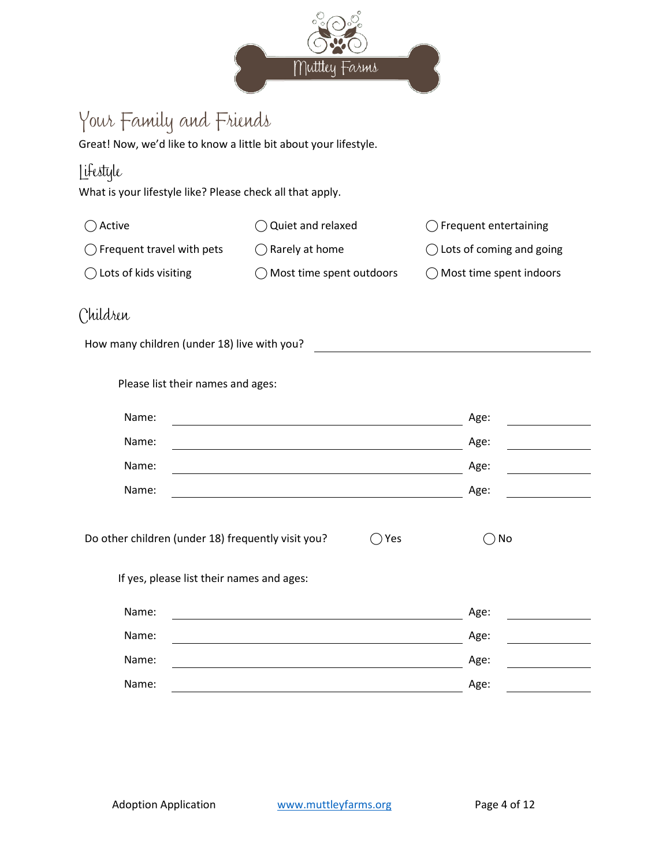

# Your Family and Friends

Great! Now, we'd like to know a little bit about your lifestyle.

### Lifestyle

What is your lifestyle like? Please check all that apply.

| $\bigcap$ Active                    | $\bigcirc$ Quiet and relaxed       | $\bigcap$ Frequent entertaining    |
|-------------------------------------|------------------------------------|------------------------------------|
| $\bigcap$ Frequent travel with pets | $\bigcap$ Rarely at home           | $\bigcap$ Lots of coming and going |
| $\bigcap$ Lots of kids visiting     | $\bigcap$ Most time spent outdoors | $\bigcap$ Most time spent indoors  |

### Children

How many children (under 18) live with you?

| Please list their names and ages: |  |  |  |
|-----------------------------------|--|--|--|
|-----------------------------------|--|--|--|

| Name: | Age: |  |
|-------|------|--|
| Name: | Age: |  |
| Name: | Age: |  |
| Name: | Age: |  |
|       |      |  |

| Do other children (under 18) frequently visit you? | $\bigcirc$ Yes | $\bigcirc$ No |
|----------------------------------------------------|----------------|---------------|
|----------------------------------------------------|----------------|---------------|

If yes, please list their names and ages:

| Name: | Age: |  |
|-------|------|--|
| Name: | Age: |  |
| Name: | Age: |  |
| Name: | Age: |  |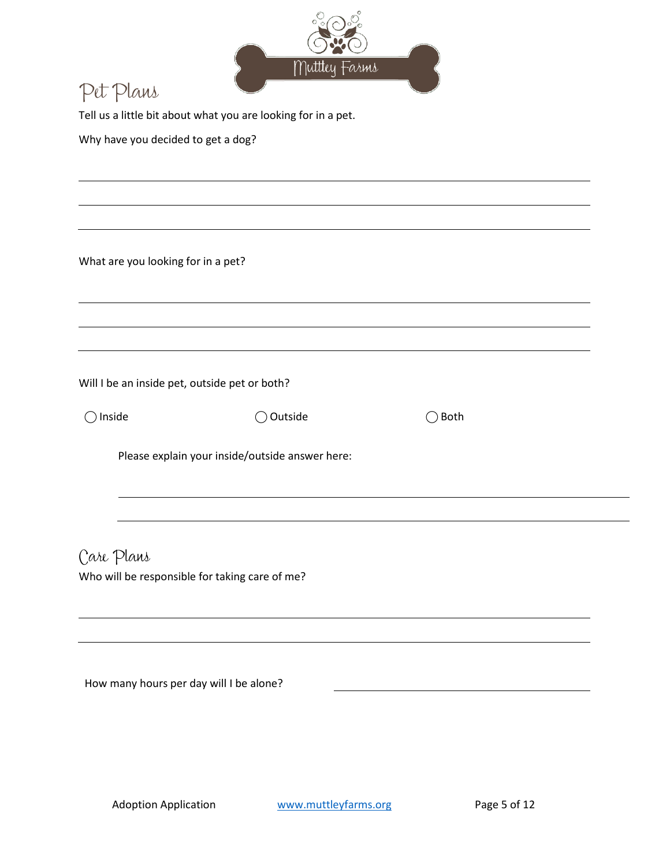

## Pet Plans

Tell us a little bit about what you are looking for in a pet.

Why have you decided to get a dog?

What are you looking for in a pet?

Will I be an inside pet, outside pet or both?

 $\bigcap$  Inside  $\bigcap$  Outside  $\bigcap$  Both

Please explain your inside/outside answer here:

Care Plans Who will be responsible for taking care of me?

How many hours per day will I be alone?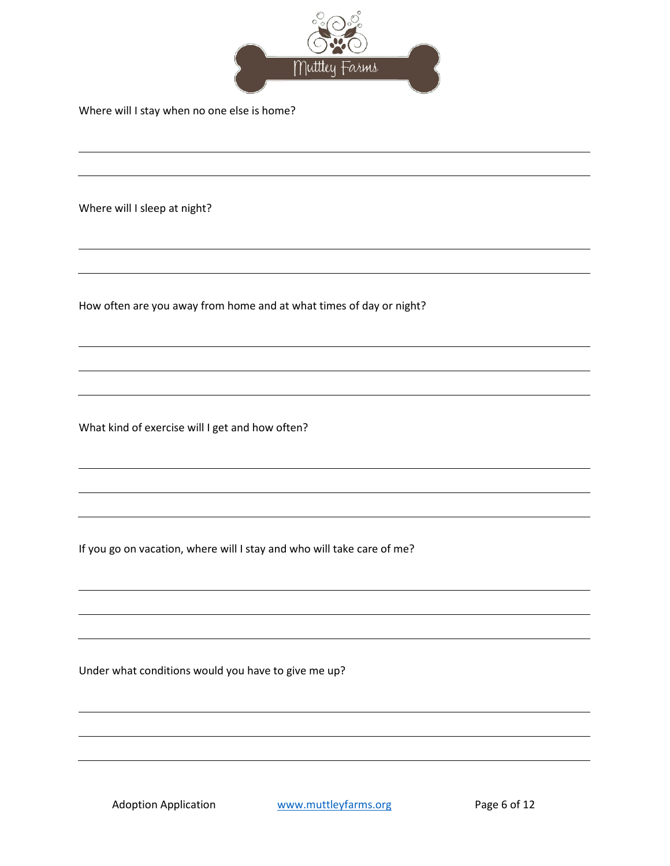

Where will I stay when no one else is home?

Where will I sleep at night?

How often are you away from home and at what times of day or night?

What kind of exercise will I get and how often?

If you go on vacation, where will I stay and who will take care of me?

Under what conditions would you have to give me up?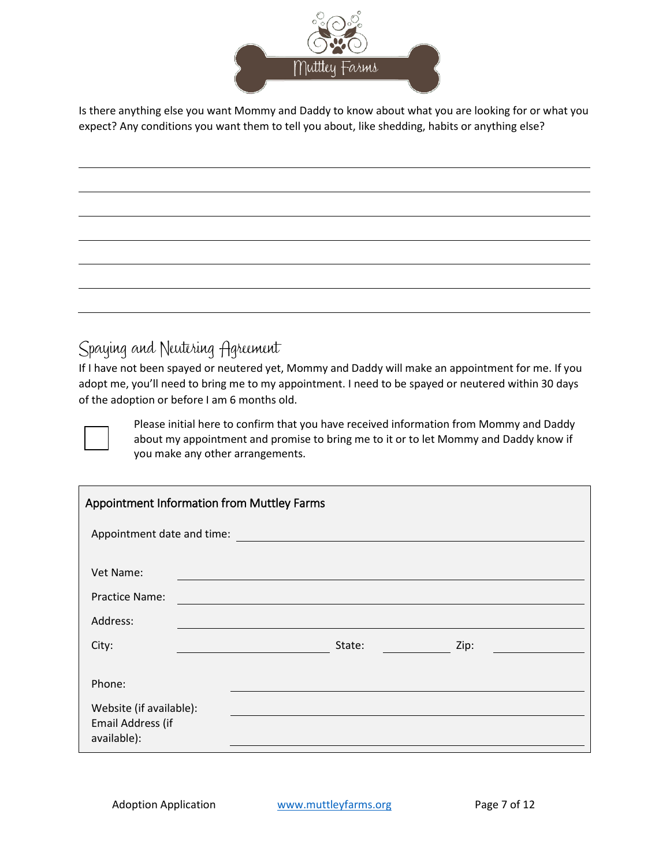

Is there anything else you want Mommy and Daddy to know about what you are looking for or what you expect? Any conditions you want them to tell you about, like shedding, habits or anything else?

### Spaying and Neutering Agreement

If I have not been spayed or neutered yet, Mommy and Daddy will make an appointment for me. If you adopt me, you'll need to bring me to my appointment. I need to be spayed or neutered within 30 days of the adoption or before I am 6 months old.

Please initial here to confirm that you have received information from Mommy and Daddy about my appointment and promise to bring me to it or to let Mommy and Daddy know if you make any other arrangements.

| Appointment Information from Muttley Farms                  |                            |  |  |  |  |
|-------------------------------------------------------------|----------------------------|--|--|--|--|
|                                                             | Appointment date and time: |  |  |  |  |
| Vet Name:                                                   |                            |  |  |  |  |
| <b>Practice Name:</b>                                       |                            |  |  |  |  |
| Address:                                                    |                            |  |  |  |  |
| City:                                                       | Zip:<br>State:             |  |  |  |  |
| Phone:                                                      |                            |  |  |  |  |
| Website (if available):<br>Email Address (if<br>available): |                            |  |  |  |  |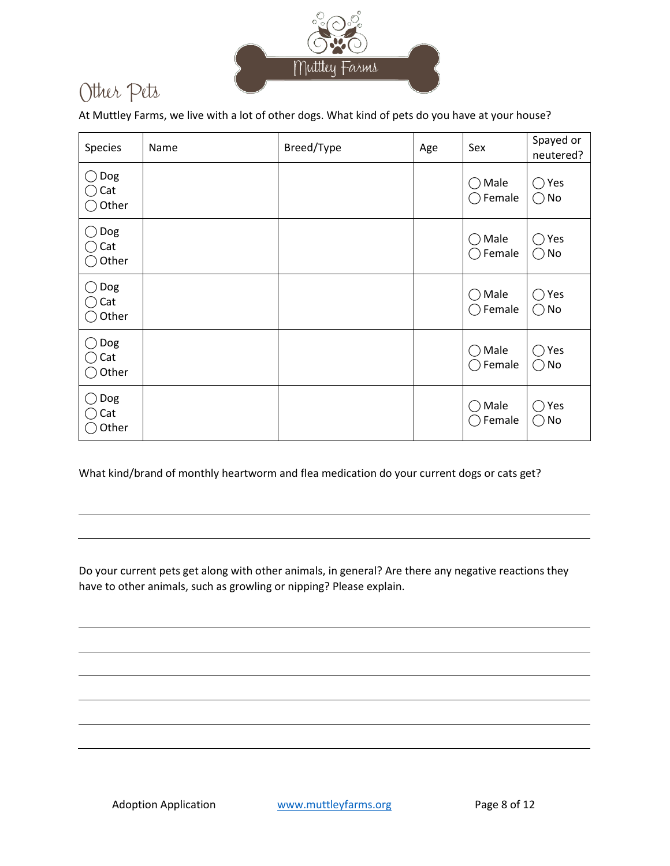

## Other Pets

At Muttley Farms, we live with a lot of other dogs. What kind of pets do you have at your house?

| Species                  | Name | Breed/Type | Age | Sex                                                                                       | Spayed or<br>neutered?                |
|--------------------------|------|------------|-----|-------------------------------------------------------------------------------------------|---------------------------------------|
| Dog<br>Cat<br>Other      |      |            |     | Male<br>( )<br>Female<br>$($ )                                                            | Yes<br>( )<br>$\bigcirc$ No           |
| Dog<br>(<br>Cat<br>Other |      |            |     | $\bigcirc$ Male<br>Female<br>$\left( \begin{array}{c} \end{array} \right)$                | Yes<br>$($ )<br>$\bigcirc$ No         |
| Dog<br>Cat<br>Other      |      |            |     | Male<br>$($ )<br>$\bigcirc$ Female                                                        | Yes<br>$($ )<br>$\bigcirc$ No         |
| Dog<br>Cat<br>Other      |      |            |     | Male<br>$\bigcirc$<br>Female<br>$\left( \begin{array}{c} \rightarrow \end{array} \right)$ | Yes<br>$\qquad \qquad$<br>No<br>$($ ) |
| Dog<br>Cat<br>Other      |      |            |     | Male<br>$\left(\begin{array}{c} \end{array}\right)$<br>Female<br>( )                      | Yes<br>$\mathbb{R}^n$<br>( ) No       |

What kind/brand of monthly heartworm and flea medication do your current dogs or cats get?

Do your current pets get along with other animals, in general? Are there any negative reactions they have to other animals, such as growling or nipping? Please explain.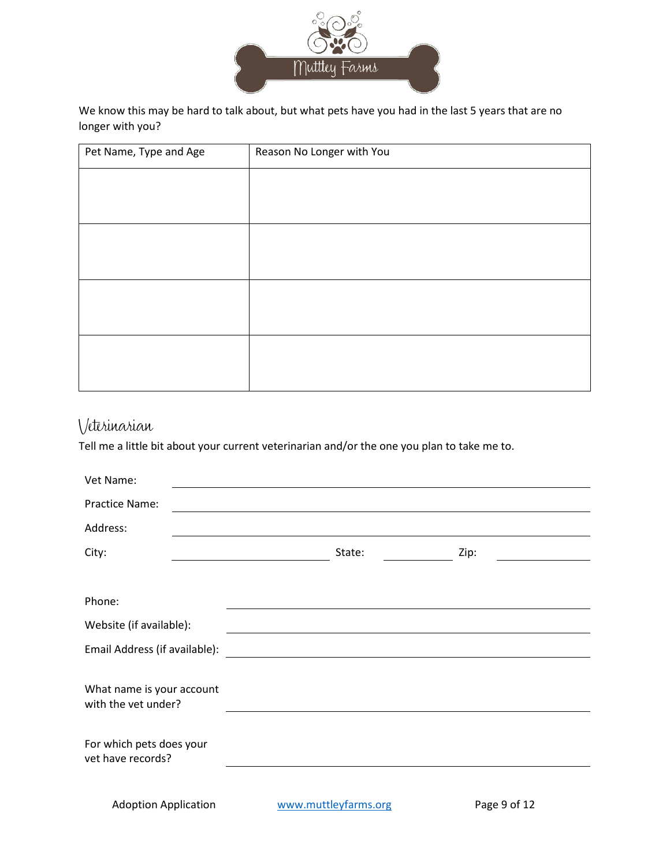

We know this may be hard to talk about, but what pets have you had in the last 5 years that are no longer with you?

| Pet Name, Type and Age | Reason No Longer with You |
|------------------------|---------------------------|
|                        |                           |
|                        |                           |
|                        |                           |
|                        |                           |
|                        |                           |
|                        |                           |
|                        |                           |
|                        |                           |

### Veterinarian

Tell me a little bit about your current veterinarian and/or the one you plan to take me to.

| Vet Name:                                        |                                                                                                                                                                                                                               |              |  |
|--------------------------------------------------|-------------------------------------------------------------------------------------------------------------------------------------------------------------------------------------------------------------------------------|--------------|--|
| Practice Name:                                   |                                                                                                                                                                                                                               |              |  |
| Address:                                         | the control of the control of the control of the control of the control of the control of the control of the control of the control of the control of the control of the control of the control of the control of the control |              |  |
| City:                                            | State:                                                                                                                                                                                                                        | Zip:         |  |
|                                                  |                                                                                                                                                                                                                               |              |  |
| Phone:                                           | <u> 1980 - Johann Barbara, martxa alemaniar amerikan a</u>                                                                                                                                                                    |              |  |
| Website (if available):                          |                                                                                                                                                                                                                               |              |  |
| Email Address (if available):                    | <u> 1989 - Johann Stein, marwolaethau a bhann an t-Amhair an t-Amhair an t-Amhair an t-Amhair an t-Amhair an t-A</u>                                                                                                          |              |  |
| What name is your account<br>with the vet under? |                                                                                                                                                                                                                               |              |  |
| For which pets does your<br>vet have records?    |                                                                                                                                                                                                                               |              |  |
| <b>Adoption Application</b>                      | www.muttleyfarms.org                                                                                                                                                                                                          | Page 9 of 12 |  |
|                                                  |                                                                                                                                                                                                                               |              |  |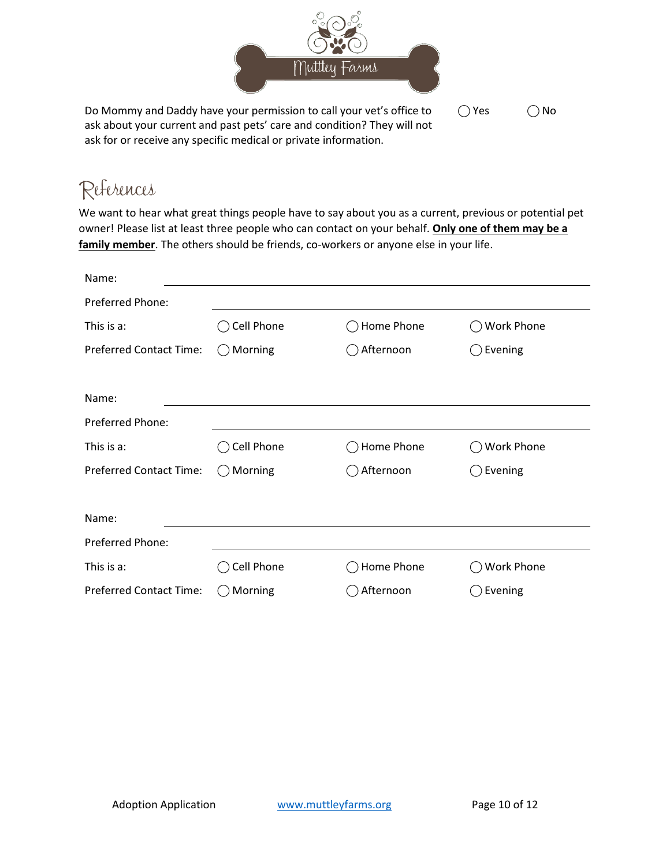

Do Mommy and Daddy have your permission to call your vet's office to ask about your current and past pets' care and condition? They will not ask for or receive any specific medical or private information.  $\bigcirc$  Yes  $\bigcirc$  No

# References

We want to hear what great things people have to say about you as a current, previous or potential pet owner! Please list at least three people who can contact on your behalf. **Only one of them may be a family member**. The others should be friends, co-workers or anyone else in your life.

| Name:                          |              |            |                   |
|--------------------------------|--------------|------------|-------------------|
| <b>Preferred Phone:</b>        |              |            |                   |
| This is a:                     | Cell Phone   | Home Phone | <b>Work Phone</b> |
| <b>Preferred Contact Time:</b> | Morning<br>( | Afternoon  | Evening           |
|                                |              |            |                   |
| Name:                          |              |            |                   |
| <b>Preferred Phone:</b>        |              |            |                   |
| This is a:                     | Cell Phone   | Home Phone | Work Phone        |
| <b>Preferred Contact Time:</b> | Morning      | Afternoon  | Evening           |
|                                |              |            |                   |
| Name:                          |              |            |                   |
| Preferred Phone:               |              |            |                   |
| This is a:                     | Cell Phone   | Home Phone | <b>Work Phone</b> |
| <b>Preferred Contact Time:</b> | Morning      | Afternoon  | Evening           |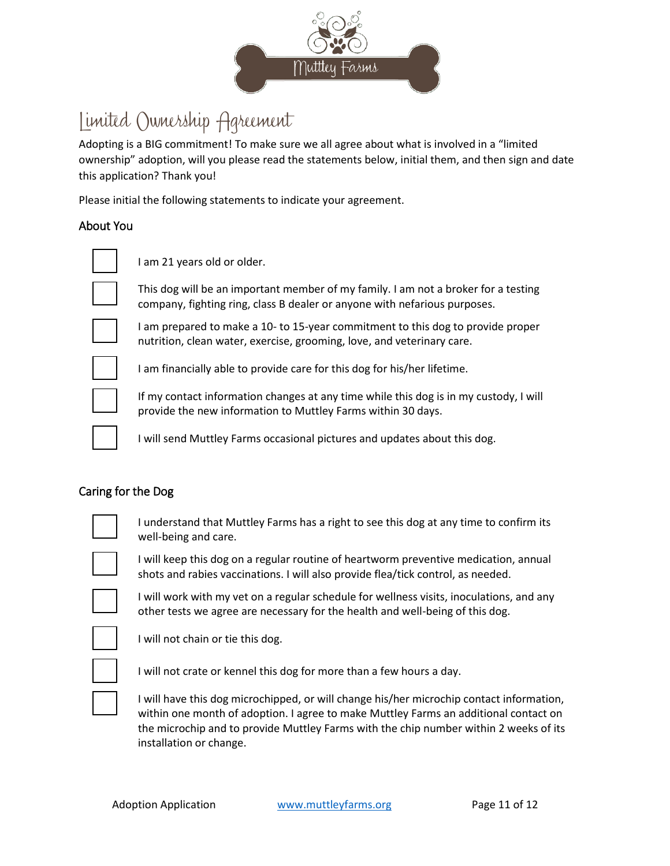

## Limited Ownership Agreement

Adopting is a BIG commitment! To make sure we all agree about what is involved in a "limited ownership" adoption, will you please read the statements below, initial them, and then sign and date this application? Thank you!

Please initial the following statements to indicate your agreement.

#### About You

I am 21 years old or older.



This dog will be an important member of my family. I am not a broker for a testing company, fighting ring, class B dealer or anyone with nefarious purposes.



I am prepared to make a 10- to 15-year commitment to this dog to provide proper nutrition, clean water, exercise, grooming, love, and veterinary care.



I am financially able to provide care for this dog for his/her lifetime.



If my contact information changes at any time while this dog is in my custody, I will provide the new information to Muttley Farms within 30 days.

I will send Muttley Farms occasional pictures and updates about this dog.

#### Caring for the Dog



I understand that Muttley Farms has a right to see this dog at any time to confirm its well-being and care.



I will keep this dog on a regular routine of heartworm preventive medication, annual shots and rabies vaccinations. I will also provide flea/tick control, as needed.

I will work with my vet on a regular schedule for wellness visits, inoculations, and any other tests we agree are necessary for the health and well-being of this dog.

not chain or tie this dog.

I will not crate or kennel this dog for more than a few hours a day.

I will have this dog microchipped, or will change his/her microchip contact information, within one month of adoption. I agree to make Muttley Farms an additional contact on the microchip and to provide Muttley Farms with the chip number within 2 weeks of its installation or change.